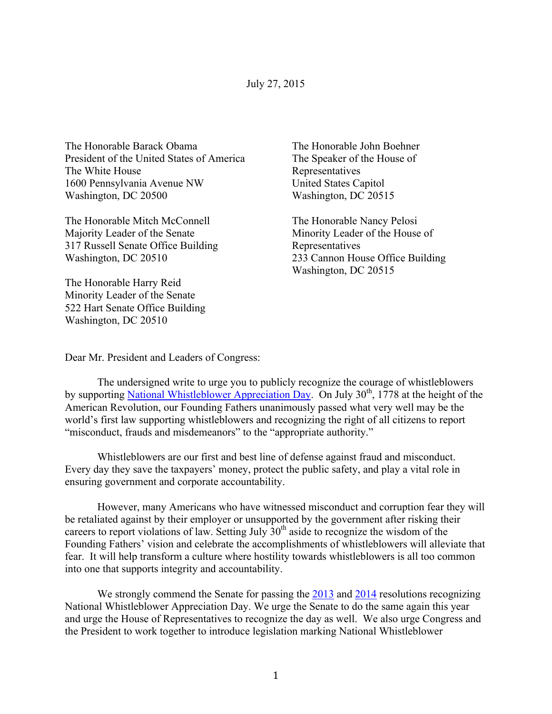## July 27, 2015

The Honorable Barack Obama President of the United States of America The White House 1600 Pennsylvania Avenue NW Washington, DC 20500

The Honorable Mitch McConnell Majority Leader of the Senate 317 Russell Senate Office Building Washington, DC 20510

The Honorable Harry Reid Minority Leader of the Senate 522 Hart Senate Office Building Washington, DC 20510

The Honorable John Boehner The Speaker of the House of Representatives United States Capitol Washington, DC 20515

The Honorable Nancy Pelosi Minority Leader of the House of Representatives 233 Cannon House Office Building Washington, DC 20515

Dear Mr. President and Leaders of Congress:

The undersigned write to urge you to publicly recognize the courage of whistleblowers by supporting National Whistleblower Appreciation Day. On July  $30<sup>th</sup>$ , 1778 at the height of the American Revolution, our Founding Fathers unanimously passed what very well may be the world's first law supporting whistleblowers and recognizing the right of all citizens to report "misconduct, frauds and misdemeanors" to the "appropriate authority."

Whistleblowers are our first and best line of defense against fraud and misconduct. Every day they save the taxpayers' money, protect the public safety, and play a vital role in ensuring government and corporate accountability.

However, many Americans who have witnessed misconduct and corruption fear they will be retaliated against by their employer or unsupported by the government after risking their careers to report violations of law. Setting July  $30<sup>th</sup>$  aside to recognize the wisdom of the Founding Fathers' vision and celebrate the accomplishments of whistleblowers will alleviate that fear. It will help transform a culture where hostility towards whistleblowers is all too common into one that supports integrity and accountability.

We strongly commend the Senate for passing the 2013 and 2014 resolutions recognizing National Whistleblower Appreciation Day. We urge the Senate to do the same again this year and urge the House of Representatives to recognize the day as well. We also urge Congress and the President to work together to introduce legislation marking National Whistleblower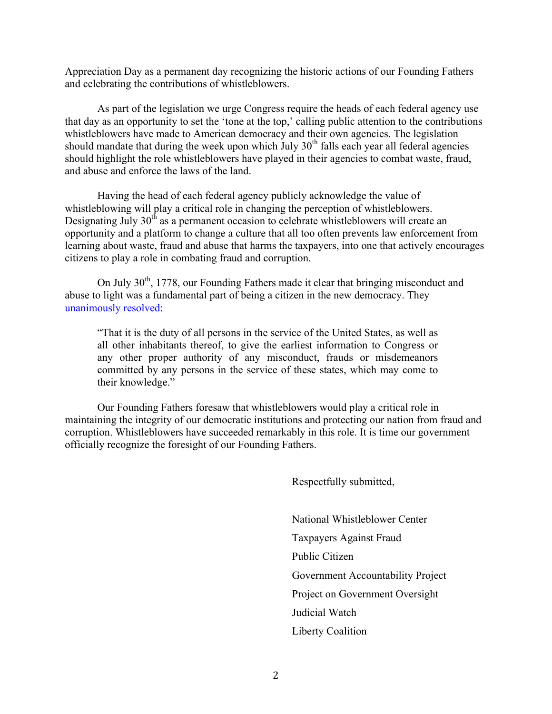Appreciation Day as a permanent day recognizing the historic actions of our Founding Fathers and celebrating the contributions of whistleblowers.

As part of the legislation we urge Congress require the heads of each federal agency use that day as an opportunity to set the 'tone at the top,' calling public attention to the contributions whistleblowers have made to American democracy and their own agencies. The legislation should mandate that during the week upon which July  $30<sup>th</sup>$  falls each year all federal agencies should highlight the role whistleblowers have played in their agencies to combat waste, fraud, and abuse and enforce the laws of the land.

Having the head of each federal agency publicly acknowledge the value of whistleblowing will play a critical role in changing the perception of whistleblowers. Designating July 30<sup>th</sup> as a permanent occasion to celebrate whistleblowers will create an opportunity and a platform to change a culture that all too often prevents law enforcement from learning about waste, fraud and abuse that harms the taxpayers, into one that actively encourages citizens to play a role in combating fraud and corruption.

On July 30<sup>th</sup>, 1778, our Founding Fathers made it clear that bringing misconduct and abuse to light was a fundamental part of being a citizen in the new democracy. They unanimously resolved:

"That it is the duty of all persons in the service of the United States, as well as all other inhabitants thereof, to give the earliest information to Congress or any other proper authority of any misconduct, frauds or misdemeanors committed by any persons in the service of these states, which may come to their knowledge."

Our Founding Fathers foresaw that whistleblowers would play a critical role in maintaining the integrity of our democratic institutions and protecting our nation from fraud and corruption. Whistleblowers have succeeded remarkably in this role. It is time our government officially recognize the foresight of our Founding Fathers.

Respectfully submitted,

National Whistleblower Center Taxpayers Against Fraud Public Citizen Government Accountability Project Project on Government Oversight Judicial Watch Liberty Coalition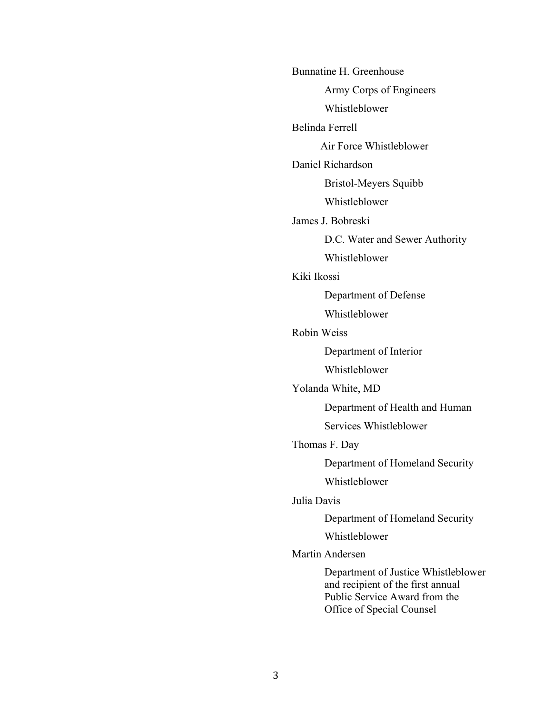| Bunnatine H. Greenhouse |                                                                                                                                        |
|-------------------------|----------------------------------------------------------------------------------------------------------------------------------------|
|                         | Army Corps of Engineers                                                                                                                |
|                         | Whistleblower                                                                                                                          |
| <b>Belinda Ferrell</b>  |                                                                                                                                        |
|                         | Air Force Whistleblower                                                                                                                |
| Daniel Richardson       |                                                                                                                                        |
|                         | Bristol-Meyers Squibb                                                                                                                  |
|                         | Whistleblower                                                                                                                          |
| James J. Bobreski       |                                                                                                                                        |
|                         | D.C. Water and Sewer Authority                                                                                                         |
|                         | Whistleblower                                                                                                                          |
| Kiki Ikossi             |                                                                                                                                        |
|                         | Department of Defense                                                                                                                  |
|                         | Whistleblower                                                                                                                          |
| <b>Robin Weiss</b>      |                                                                                                                                        |
|                         | Department of Interior                                                                                                                 |
|                         | Whistleblower                                                                                                                          |
| Yolanda White, MD       |                                                                                                                                        |
|                         | Department of Health and Human                                                                                                         |
|                         | Services Whistleblower                                                                                                                 |
| Thomas F. Day           |                                                                                                                                        |
|                         | Department of Homeland Security                                                                                                        |
|                         | Whistleblower                                                                                                                          |
| Julia Davis             |                                                                                                                                        |
|                         | Department of Homeland Security                                                                                                        |
|                         | Whistleblower                                                                                                                          |
| Martin Andersen         |                                                                                                                                        |
|                         | Department of Justice Whistleblower<br>and recipient of the first annual<br>Public Service Award from the<br>Office of Special Counsel |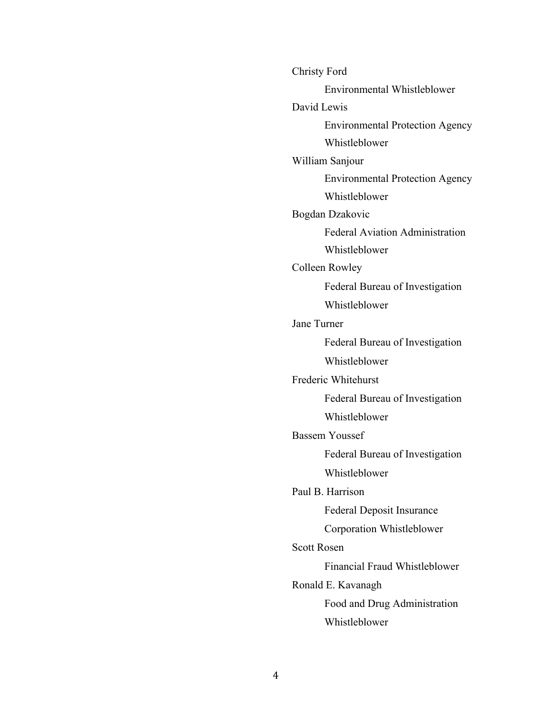Christy Ford Environmental Whistleblower David Lewis Environmental Protection Agency Whistleblower William Sanjour Environmental Protection Agency Whistleblower Bogdan Dzakovic Federal Aviation Administration Whistleblower Colleen Rowley Federal Bureau of Investigation Whistleblower Jane Turner Federal Bureau of Investigation Whistleblower Frederic Whitehurst Federal Bureau of Investigation Whistleblower Bassem Youssef Federal Bureau of Investigation Whistleblower Paul B. Harrison Federal Deposit Insurance Corporation Whistleblower Scott Rosen Financial Fraud Whistleblower Ronald E. Kavanagh Food and Drug Administration Whistleblower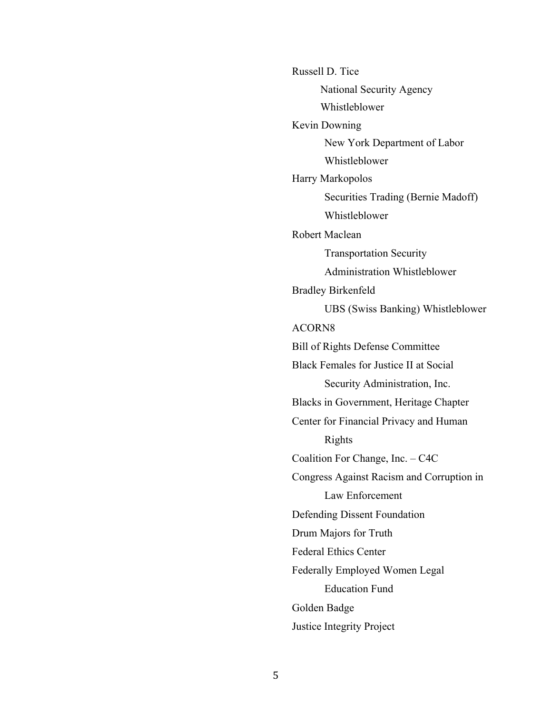Russell D. Tice National Security Agency Whistleblower Kevin Downing New York Department of Labor Whistleblower Harry Markopolos Securities Trading (Bernie Madoff) Whistleblower Robert Maclean Transportation Security Administration Whistleblower Bradley Birkenfeld UBS (Swiss Banking) Whistleblower ACORN8 Bill of Rights Defense Committee Black Females for Justice II at Social Security Administration, Inc. Blacks in Government, Heritage Chapter Center for Financial Privacy and Human Rights Coalition For Change, Inc. – C4C Congress Against Racism and Corruption in Law Enforcement Defending Dissent Foundation Drum Majors for Truth Federal Ethics Center Federally Employed Women Legal Education Fund Golden Badge Justice Integrity Project